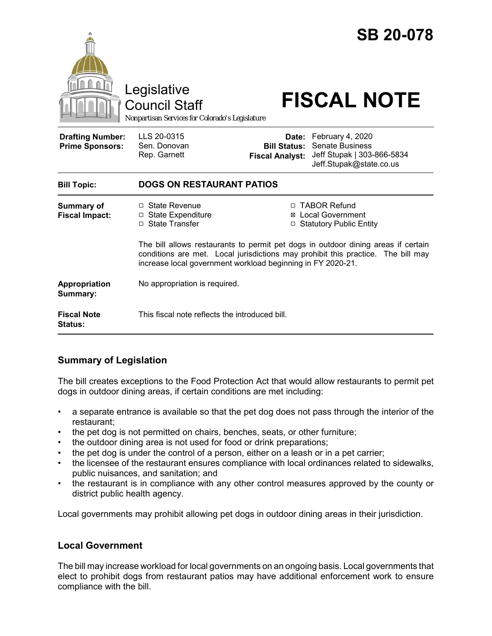|                                                   | Legislative<br><b>Council Staff</b><br>Nonpartisan Services for Colorado's Legislature                                                                                                                                               |                                               | <b>SB 20-078</b><br><b>FISCAL NOTE</b>                                                                    |
|---------------------------------------------------|--------------------------------------------------------------------------------------------------------------------------------------------------------------------------------------------------------------------------------------|-----------------------------------------------|-----------------------------------------------------------------------------------------------------------|
| <b>Drafting Number:</b><br><b>Prime Sponsors:</b> | LLS 20-0315<br>Sen. Donovan<br>Rep. Garnett                                                                                                                                                                                          | <b>Bill Status:</b><br><b>Fiscal Analyst:</b> | Date: February 4, 2020<br><b>Senate Business</b><br>Jeff Stupak   303-866-5834<br>Jeff.Stupak@state.co.us |
| <b>Bill Topic:</b>                                | <b>DOGS ON RESTAURANT PATIOS</b>                                                                                                                                                                                                     |                                               |                                                                                                           |
| <b>Summary of</b><br><b>Fiscal Impact:</b>        | $\Box$ State Revenue<br><b>State Expenditure</b><br>□<br>□ State Transfer                                                                                                                                                            | ⊠                                             | □ TABOR Refund<br><b>Local Government</b><br>□ Statutory Public Entity                                    |
|                                                   | The bill allows restaurants to permit pet dogs in outdoor dining areas if certain<br>conditions are met. Local jurisdictions may prohibit this practice. The bill may<br>increase local government workload beginning in FY 2020-21. |                                               |                                                                                                           |
| Appropriation<br>Summary:                         | No appropriation is required.                                                                                                                                                                                                        |                                               |                                                                                                           |
| <b>Fiscal Note</b><br><b>Status:</b>              | This fiscal note reflects the introduced bill.                                                                                                                                                                                       |                                               |                                                                                                           |

## **Summary of Legislation**

The bill creates exceptions to the Food Protection Act that would allow restaurants to permit pet dogs in outdoor dining areas, if certain conditions are met including:

- a separate entrance is available so that the pet dog does not pass through the interior of the restaurant;
- the pet dog is not permitted on chairs, benches, seats, or other furniture;
- the outdoor dining area is not used for food or drink preparations;
- the pet dog is under the control of a person, either on a leash or in a pet carrier;
- the licensee of the restaurant ensures compliance with local ordinances related to sidewalks, public nuisances, and sanitation; and
- the restaurant is in compliance with any other control measures approved by the county or district public health agency.

Local governments may prohibit allowing pet dogs in outdoor dining areas in their jurisdiction.

## **Local Government**

The bill may increase workload for local governments on an ongoing basis. Local governments that elect to prohibit dogs from restaurant patios may have additional enforcement work to ensure compliance with the bill.